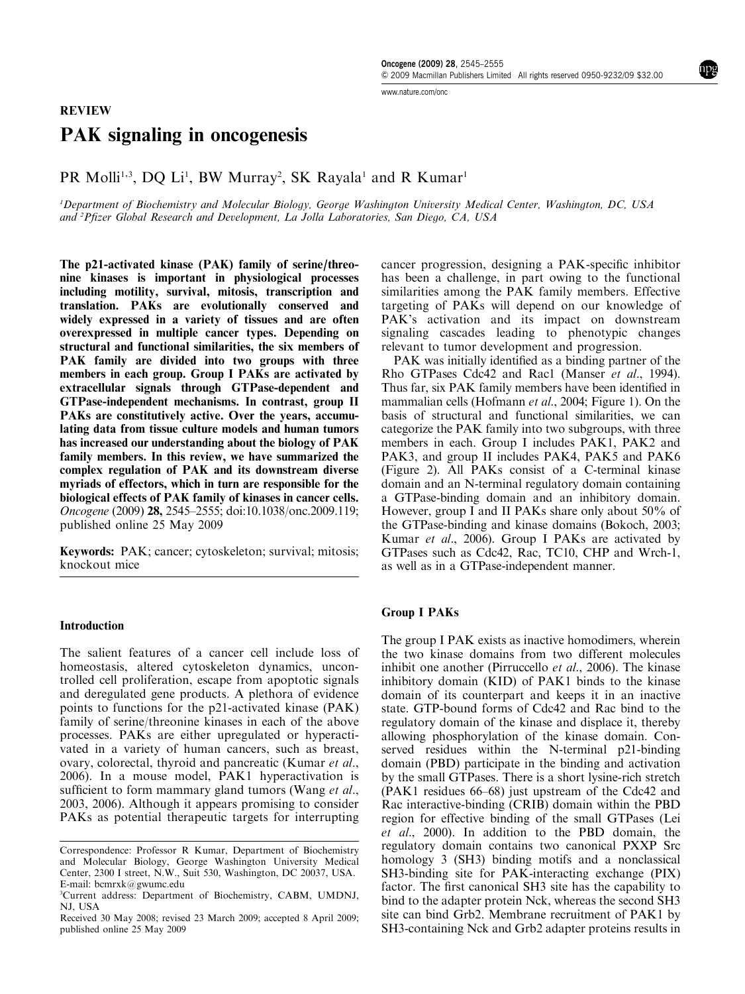www.nature.com/onc

# PAK signaling in oncogenesis

PR Molli<sup>1,3</sup>, DQ Li<sup>1</sup>, BW Murray<sup>2</sup>, SK Rayala<sup>1</sup> and R Kumar<sup>1</sup>

<sup>1</sup>Department of Biochemistry and Molecular Biology, George Washington University Medical Center, Washington, DC, USA and <sup>2</sup>Pfizer Global Research and Development, La Jolla Laboratories, San Diego, CA, USA

The p21-activated kinase (PAK) family of serine/threonine kinases is important in physiological processes including motility, survival, mitosis, transcription and translation. PAKs are evolutionally conserved and widely expressed in a variety of tissues and are often overexpressed in multiple cancer types. Depending on structural and functional similarities, the six members of PAK family are divided into two groups with three members in each group. Group I PAKs are activated by extracellular signals through GTPase-dependent and GTPase-independent mechanisms. In contrast, group II PAKs are constitutively active. Over the years, accumulating data from tissue culture models and human tumors has increased our understanding about the biologyof PAK family members. In this review, we have summarized the complex regulation of PAK and its downstream diverse myriads of effectors, which in turn are responsible for the biological effects of PAK family of kinases in cancer cells. Oncogene (2009) 28, 2545–2555;doi:10.1038/onc.2009.119; published online 25 May 2009

Keywords: PAK; cancer; cytoskeleton; survival; mitosis; knockout mice

### Introduction

The salient features of a cancer cell include loss of homeostasis, altered cytoskeleton dynamics, uncontrolled cell proliferation, escape from apoptotic signals and deregulated gene products. A plethora of evidence points to functions for the p21-activated kinase (PAK) family of serine/threonine kinases in each of the above processes. PAKs are either upregulated or hyperactivated in a variety of human cancers, such as breast, ovary, colorectal, thyroid and pancreatic (Kumar et al., 2006). In a mouse model, PAK1 hyperactivation is sufficient to form mammary gland tumors (Wang et al., 2003, 2006). Although it appears promising to consider PAKs as potential therapeutic targets for interrupting

cancer progression, designing a PAK-specific inhibitor has been a challenge, in part owing to the functional similarities among the PAK family members. Effective targeting of PAKs will depend on our knowledge of PAK's activation and its impact on downstream signaling cascades leading to phenotypic changes relevant to tumor development and progression.

PAK was initially identified as a binding partner of the Rho GTPases Cdc42 and Rac1 (Manser et al., 1994). Thus far, six PAK family members have been identified in mammalian cells (Hofmann et al., 2004; Figure 1). On the basis of structural and functional similarities, we can categorize the PAK family into two subgroups, with three members in each. Group I includes PAK1, PAK2 and PAK3, and group II includes PAK4, PAK5 and PAK6 (Figure 2). All PAKs consist of a C-terminal kinase domain and an N-terminal regulatory domain containing a GTPase-binding domain and an inhibitory domain. However, group I and II PAKs share only about 50% of the GTPase-binding and kinase domains (Bokoch, 2003; Kumar et al., 2006). Group I PAKs are activated by GTPases such as Cdc42, Rac, TC10, CHP and Wrch-1, as well as in a GTPase-independent manner.

### Group I PAKs

The group I PAK exists as inactive homodimers, wherein the two kinase domains from two different molecules inhibit one another (Pirruccello *et al.*, 2006). The kinase inhibitory domain (KID) of PAK1 binds to the kinase domain of its counterpart and keeps it in an inactive state. GTP-bound forms of Cdc42 and Rac bind to the regulatory domain of the kinase and displace it, thereby allowing phosphorylation of the kinase domain. Conserved residues within the N-terminal p21-binding domain (PBD) participate in the binding and activation by the small GTPases. There is a short lysine-rich stretch (PAK1 residues 66–68) just upstream of the Cdc42 and Rac interactive-binding (CRIB) domain within the PBD region for effective binding of the small GTPases (Lei et al., 2000). In addition to the PBD domain, the regulatory domain contains two canonical PXXP Src homology 3 (SH3) binding motifs and a nonclassical SH3-binding site for PAK-interacting exchange (PIX) factor. The first canonical SH3 site has the capability to bind to the adapter protein Nck, whereas the second SH3 site can bind Grb2. Membrane recruitment of PAK1 by SH3-containing Nck and Grb2 adapter proteins results in

Correspondence: Professor R Kumar, Department of Biochemistry and Molecular Biology, George Washington University Medical Center, 2300 I street, N.W., Suit 530, Washington, DC 20037, USA. E-mail: bcmrxk@gwumc.edu

<sup>3</sup>Current address: Department of Biochemistry, CABM, UMDNJ, NJ, USA

Received 30 May 2008; revised 23 March 2009; accepted 8 April 2009; published online 25 May 2009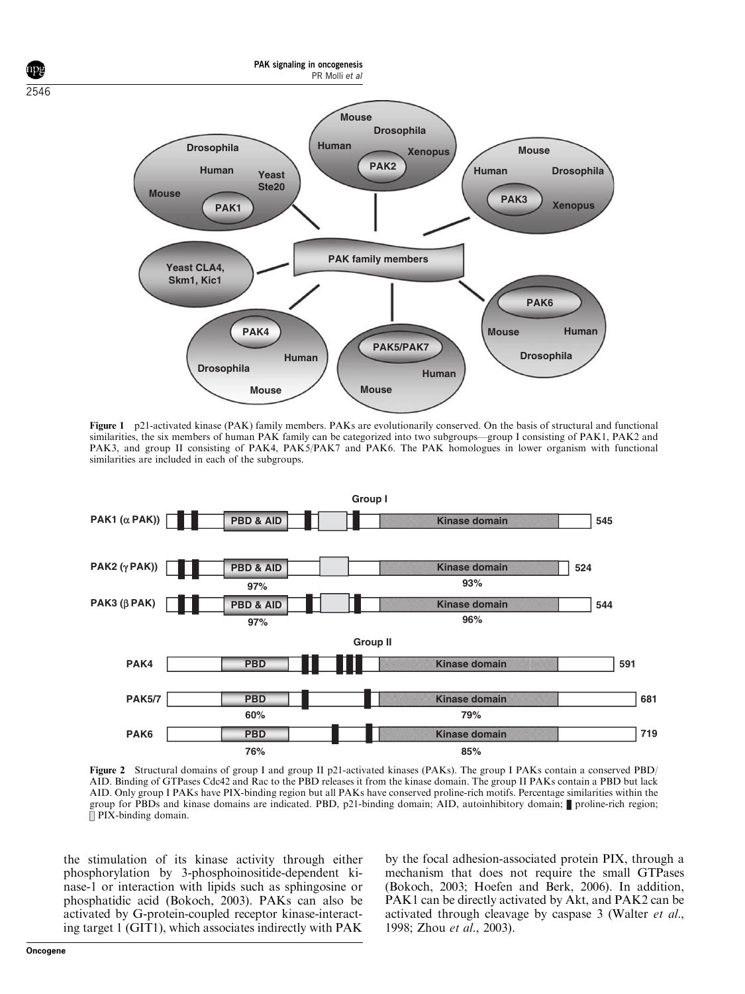

Figure 1 p21-activated kinase (PAK) family members. PAKs are evolutionarily conserved. On the basis of structural and functional similarities, the six members of human PAK family can be categorized into two subgroups—group I consisting of PAK1, PAK2 and PAK3, and group II consisting of PAK4, PAK5/PAK7 and PAK6. The PAK homologues in lower organism with functional similarities are included in each of the subgroups.



Figure 2 Structural domains of group I and group II p21-activated kinases (PAKs). The group I PAKs contain a conserved PBD/ AID. Binding of GTPases Cdc42 and Rac to the PBD releases it from the kinase domain. The group II PAKs contain a PBD but lack AID. Only group I PAKs have PIX-binding region but all PAKs have conserved proline-rich motifs. Percentage similarities within the group for PBDs and kinase domains are indicated. PBD, p21-binding domain; AID, autoinhibitory domain; proline-rich region;  $\overline{\parallel}$  PIX-binding domain.

the stimulation of its kinase activity through either phosphorylation by 3-phosphoinositide-dependent kinase-1 or interaction with lipids such as sphingosine or phosphatidic acid (Bokoch, 2003). PAKs can also be activated by G-protein-coupled receptor kinase-interacting target 1 (GIT1), which associates indirectly with PAK

by the focal adhesion-associated protein PIX, through a mechanism that does not require the small GTPases (Bokoch, 2003; Hoefen and Berk, 2006). In addition, PAK1 can be directly activated by Akt, and PAK2 can be activated through cleavage by caspase 3 (Walter et al., 1998; Zhou et al., 2003).

2546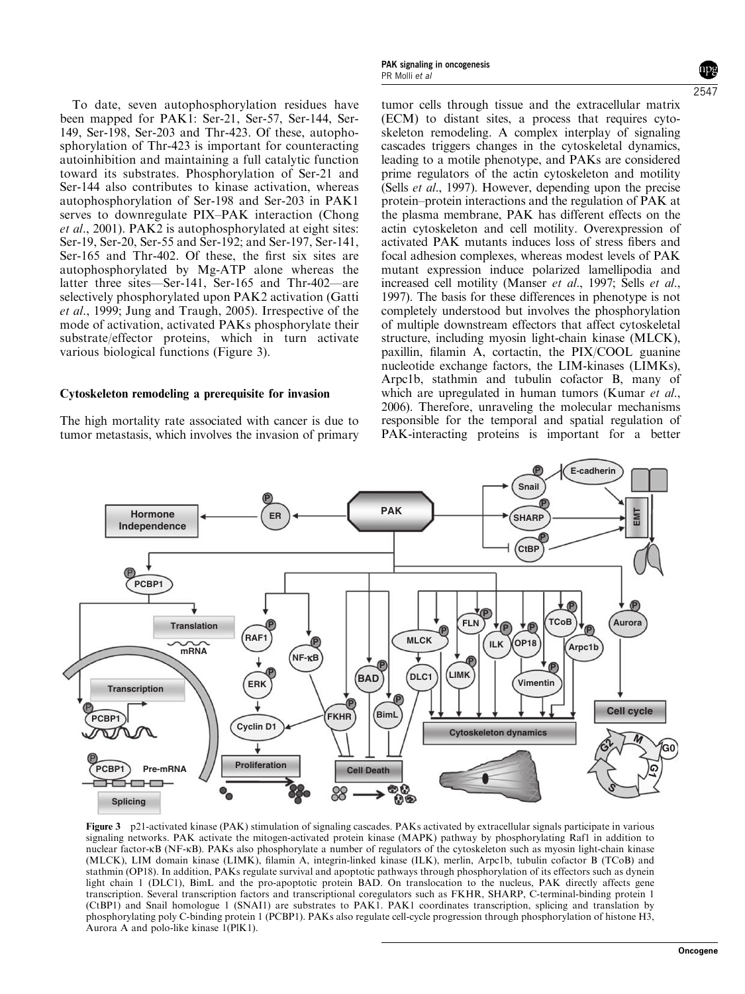To date, seven autophosphorylation residues have been mapped for PAK1: Ser-21, Ser-57, Ser-144, Ser-149, Ser-198, Ser-203 and Thr-423. Of these, autophosphorylation of Thr-423 is important for counteracting autoinhibition and maintaining a full catalytic function toward its substrates. Phosphorylation of Ser-21 and Ser-144 also contributes to kinase activation, whereas autophosphorylation of Ser-198 and Ser-203 in PAK1 serves to downregulate PIX–PAK interaction (Chong et al., 2001). PAK2 is autophosphorylated at eight sites: Ser-19, Ser-20, Ser-55 and Ser-192; and Ser-197, Ser-141, Ser-165 and Thr-402. Of these, the first six sites are autophosphorylated by Mg-ATP alone whereas the latter three sites—Ser-141, Ser-165 and Thr-402—are selectively phosphorylated upon PAK2 activation (Gatti et al., 1999; Jung and Traugh, 2005). Irrespective of the mode of activation, activated PAKs phosphorylate their substrate/effector proteins, which in turn activate various biological functions (Figure 3).

## Cytoskeleton remodeling a prerequisite for invasion

The high mortality rate associated with cancer is due to tumor metastasis, which involves the invasion of primary

tumor cells through tissue and the extracellular matrix (ECM) to distant sites, a process that requires cytoskeleton remodeling. A complex interplay of signaling cascades triggers changes in the cytoskeletal dynamics, leading to a motile phenotype, and PAKs are considered prime regulators of the actin cytoskeleton and motility (Sells *et al.*, 1997). However, depending upon the precise protein–protein interactions and the regulation of PAK at the plasma membrane, PAK has different effects on the actin cytoskeleton and cell motility. Overexpression of activated PAK mutants induces loss of stress fibers and focal adhesion complexes, whereas modest levels of PAK mutant expression induce polarized lamellipodia and increased cell motility (Manser *et al.*, 1997; Sells *et al.*, 1997). The basis for these differences in phenotype is not completely understood but involves the phosphorylation of multiple downstream effectors that affect cytoskeletal structure, including myosin light-chain kinase (MLCK), paxillin, filamin A, cortactin, the PIX/COOL guanine nucleotide exchange factors, the LIM-kinases (LIMKs), Arpc1b, stathmin and tubulin cofactor B, many of which are upregulated in human tumors (Kumar et al., 2006). Therefore, unraveling the molecular mechanisms responsible for the temporal and spatial regulation of PAK-interacting proteins is important for a better



Figure 3 p21-activated kinase (PAK) stimulation of signaling cascades. PAKs activated by extracellular signals participate in various signaling networks. PAK activate the mitogen-activated protein kinase (MAPK) pathway by phosphorylating Raf1 in addition to nuclear factor-kB (NF-kB). PAKs also phosphorylate a number of regulators of the cytoskeleton such as myosin light-chain kinase (MLCK), LIM domain kinase (LIMK), filamin A, integrin-linked kinase (ILK), merlin, Arpc1b, tubulin cofactor B (TCoB) and stathmin (OP18). In addition, PAKs regulate survival and apoptotic pathways through phosphorylation of its effectors such as dynein light chain 1 (DLC1), BimL and the pro-apoptotic protein BAD. On translocation to the nucleus, PAK directly affects gene transcription. Several transcription factors and transcriptional coregulators such as FKHR, SHARP, C-terminal-binding protein 1 (CtBP1) and Snail homologue 1 (SNAI1) are substrates to PAK1. PAK1 coordinates transcription, splicing and translation by phosphorylating poly C-binding protein 1 (PCBP1). PAKs also regulate cell-cycle progression through phosphorylation of histone H3, Aurora A and polo-like kinase 1(PlK1).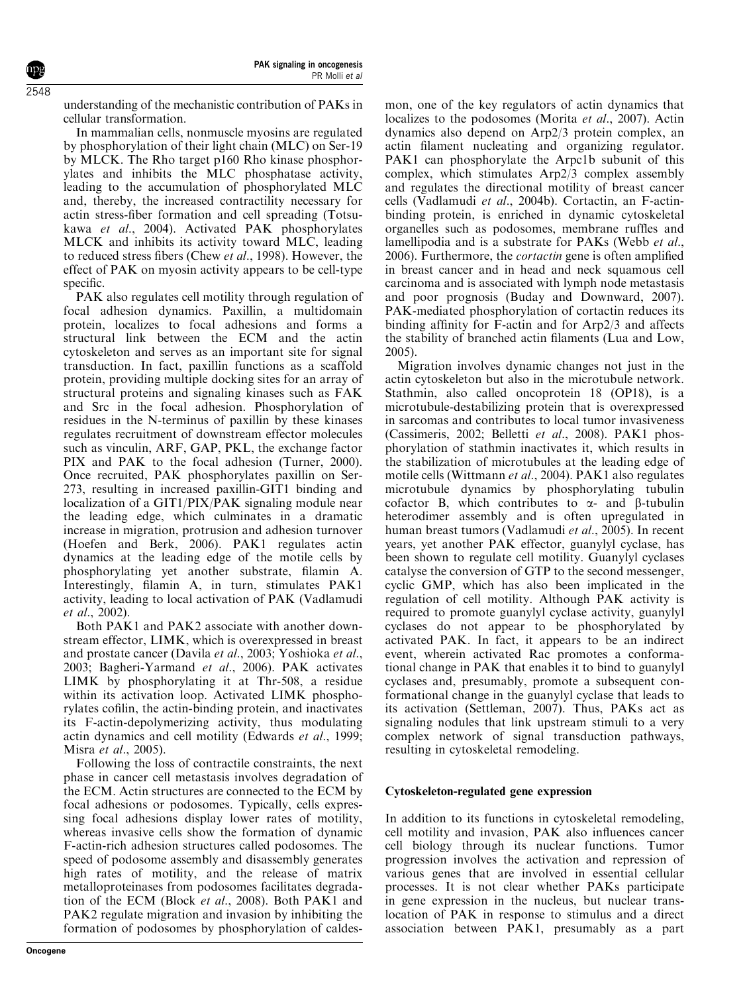understanding of the mechanistic contribution of PAKs in cellular transformation.

In mammalian cells, nonmuscle myosins are regulated by phosphorylation of their light chain (MLC) on Ser-19 by MLCK. The Rho target p160 Rho kinase phosphorylates and inhibits the MLC phosphatase activity, leading to the accumulation of phosphorylated MLC and, thereby, the increased contractility necessary for actin stress-fiber formation and cell spreading (Totsukawa et al., 2004). Activated PAK phosphorylates MLCK and inhibits its activity toward MLC, leading to reduced stress fibers (Chew et al., 1998). However, the effect of PAK on myosin activity appears to be cell-type specific.

PAK also regulates cell motility through regulation of focal adhesion dynamics. Paxillin, a multidomain protein, localizes to focal adhesions and forms a structural link between the ECM and the actin cytoskeleton and serves as an important site for signal transduction. In fact, paxillin functions as a scaffold protein, providing multiple docking sites for an array of structural proteins and signaling kinases such as FAK and Src in the focal adhesion. Phosphorylation of residues in the N-terminus of paxillin by these kinases regulates recruitment of downstream effector molecules such as vinculin, ARF, GAP, PKL, the exchange factor PIX and PAK to the focal adhesion (Turner, 2000). Once recruited, PAK phosphorylates paxillin on Ser-273, resulting in increased paxillin-GIT1 binding and localization of a GIT1/PIX/PAK signaling module near the leading edge, which culminates in a dramatic increase in migration, protrusion and adhesion turnover (Hoefen and Berk, 2006). PAK1 regulates actin dynamics at the leading edge of the motile cells by phosphorylating yet another substrate, filamin A. Interestingly, filamin A, in turn, stimulates PAK1 activity, leading to local activation of PAK (Vadlamudi et al., 2002).

Both PAK1 and PAK2 associate with another downstream effector, LIMK, which is overexpressed in breast and prostate cancer (Davila et al., 2003; Yoshioka et al., 2003; Bagheri-Yarmand et al., 2006). PAK activates LIMK by phosphorylating it at Thr-508, a residue within its activation loop. Activated LIMK phosphorylates cofilin, the actin-binding protein, and inactivates its F-actin-depolymerizing activity, thus modulating actin dynamics and cell motility (Edwards et al., 1999; Misra et al., 2005).

Following the loss of contractile constraints, the next phase in cancer cell metastasis involves degradation of the ECM. Actin structures are connected to the ECM by focal adhesions or podosomes. Typically, cells expressing focal adhesions display lower rates of motility, whereas invasive cells show the formation of dynamic F-actin-rich adhesion structures called podosomes. The speed of podosome assembly and disassembly generates high rates of motility, and the release of matrix metalloproteinases from podosomes facilitates degradation of the ECM (Block et al., 2008). Both PAK1 and PAK2 regulate migration and invasion by inhibiting the formation of podosomes by phosphorylation of caldesmon, one of the key regulators of actin dynamics that localizes to the podosomes (Morita et al., 2007). Actin dynamics also depend on Arp2/3 protein complex, an actin filament nucleating and organizing regulator. PAK1 can phosphorylate the Arpc1b subunit of this complex, which stimulates Arp2/3 complex assembly and regulates the directional motility of breast cancer cells (Vadlamudi et al., 2004b). Cortactin, an F-actinbinding protein, is enriched in dynamic cytoskeletal organelles such as podosomes, membrane ruffles and lamellipodia and is a substrate for PAKs (Webb et al., 2006). Furthermore, the cortactin gene is often amplified in breast cancer and in head and neck squamous cell carcinoma and is associated with lymph node metastasis and poor prognosis (Buday and Downward, 2007). PAK-mediated phosphorylation of cortactin reduces its binding affinity for F-actin and for Arp2/3 and affects the stability of branched actin filaments (Lua and Low, 2005).

Migration involves dynamic changes not just in the actin cytoskeleton but also in the microtubule network. Stathmin, also called oncoprotein 18 (OP18), is a microtubule-destabilizing protein that is overexpressed in sarcomas and contributes to local tumor invasiveness (Cassimeris, 2002; Belletti et al., 2008). PAK1 phosphorylation of stathmin inactivates it, which results in the stabilization of microtubules at the leading edge of motile cells (Wittmann et al., 2004). PAK1 also regulates microtubule dynamics by phosphorylating tubulin cofactor B, which contributes to  $\alpha$ - and  $\beta$ -tubulin heterodimer assembly and is often upregulated in human breast tumors (Vadlamudi et al., 2005). In recent years, yet another PAK effector, guanylyl cyclase, has been shown to regulate cell motility. Guanylyl cyclases catalyse the conversion of GTP to the second messenger, cyclic GMP, which has also been implicated in the regulation of cell motility. Although PAK activity is required to promote guanylyl cyclase activity, guanylyl cyclases do not appear to be phosphorylated by activated PAK. In fact, it appears to be an indirect event, wherein activated Rac promotes a conformational change in PAK that enables it to bind to guanylyl cyclases and, presumably, promote a subsequent conformational change in the guanylyl cyclase that leads to its activation (Settleman, 2007). Thus, PAKs act as signaling nodules that link upstream stimuli to a very complex network of signal transduction pathways, resulting in cytoskeletal remodeling.

# Cytoskeleton-regulated gene expression

In addition to its functions in cytoskeletal remodeling, cell motility and invasion, PAK also influences cancer cell biology through its nuclear functions. Tumor progression involves the activation and repression of various genes that are involved in essential cellular processes. It is not clear whether PAKs participate in gene expression in the nucleus, but nuclear translocation of PAK in response to stimulus and a direct association between PAK1, presumably as a part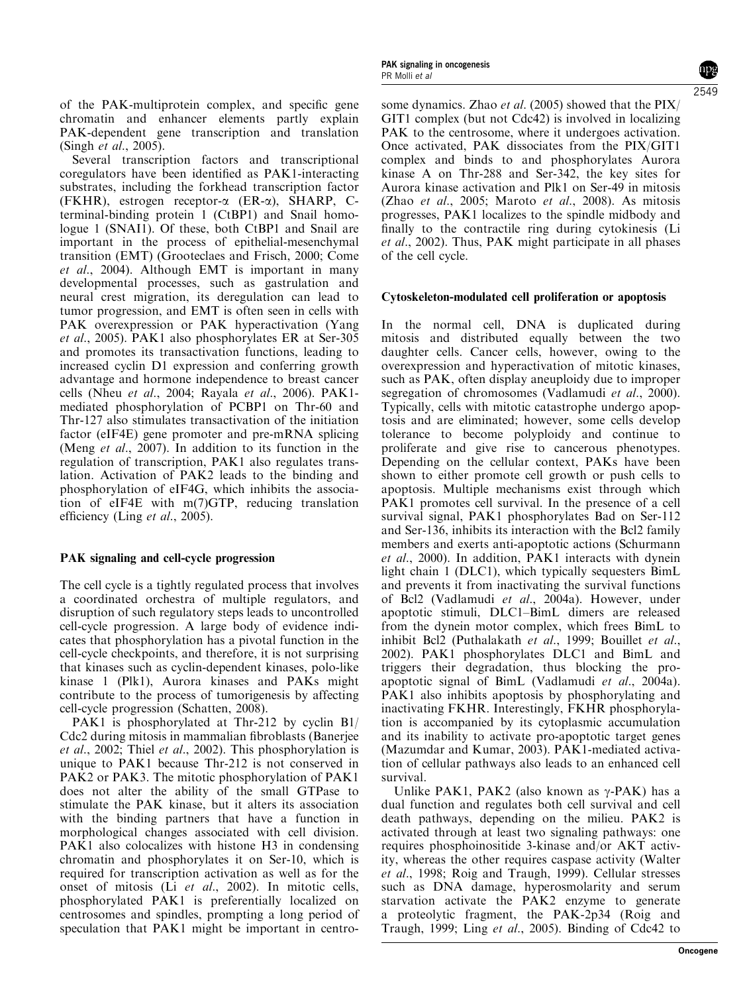of the PAK-multiprotein complex, and specific gene chromatin and enhancer elements partly explain PAK-dependent gene transcription and translation (Singh et al., 2005).

Several transcription factors and transcriptional coregulators have been identified as PAK1-interacting substrates, including the forkhead transcription factor (FKHR), estrogen receptor-a (ER-a), SHARP, Cterminal-binding protein 1 (CtBP1) and Snail homologue 1 (SNAI1). Of these, both CtBP1 and Snail are important in the process of epithelial-mesenchymal transition (EMT) (Grooteclaes and Frisch, 2000; Come et al., 2004). Although EMT is important in many developmental processes, such as gastrulation and neural crest migration, its deregulation can lead to tumor progression, and EMT is often seen in cells with PAK overexpression or PAK hyperactivation (Yang et al., 2005). PAK1 also phosphorylates ER at Ser-305 and promotes its transactivation functions, leading to increased cyclin D1 expression and conferring growth advantage and hormone independence to breast cancer cells (Nheu et al., 2004; Rayala et al., 2006). PAK1mediated phosphorylation of PCBP1 on Thr-60 and Thr-127 also stimulates transactivation of the initiation factor (eIF4E) gene promoter and pre-mRNA splicing (Meng *et al.*, 2007). In addition to its function in the regulation of transcription, PAK1 also regulates translation. Activation of PAK2 leads to the binding and phosphorylation of eIF4G, which inhibits the association of eIF4E with m(7)GTP, reducing translation efficiency (Ling et al., 2005).

# PAK signaling and cell-cycle progression

The cell cycle is a tightly regulated process that involves a coordinated orchestra of multiple regulators, and disruption of such regulatory steps leads to uncontrolled cell-cycle progression. A large body of evidence indicates that phosphorylation has a pivotal function in the cell-cycle checkpoints, and therefore, it is not surprising that kinases such as cyclin-dependent kinases, polo-like kinase 1 (Plk1), Aurora kinases and PAKs might contribute to the process of tumorigenesis by affecting cell-cycle progression (Schatten, 2008).

PAK1 is phosphorylated at Thr-212 by cyclin B1/ Cdc2 during mitosis in mammalian fibroblasts (Banerjee et al., 2002; Thiel et al., 2002). This phosphorylation is unique to PAK1 because Thr-212 is not conserved in PAK2 or PAK3. The mitotic phosphorylation of PAK1 does not alter the ability of the small GTPase to stimulate the PAK kinase, but it alters its association with the binding partners that have a function in morphological changes associated with cell division. PAK1 also colocalizes with histone H3 in condensing chromatin and phosphorylates it on Ser-10, which is required for transcription activation as well as for the onset of mitosis (Li et al., 2002). In mitotic cells, phosphorylated PAK1 is preferentially localized on centrosomes and spindles, prompting a long period of speculation that PAK1 might be important in centro-

some dynamics. Zhao et al. (2005) showed that the PIX/ GIT1 complex (but not Cdc42) is involved in localizing PAK to the centrosome, where it undergoes activation. Once activated, PAK dissociates from the PIX/GIT1 complex and binds to and phosphorylates Aurora kinase A on Thr-288 and Ser-342, the key sites for Aurora kinase activation and Plk1 on Ser-49 in mitosis (Zhao *et al.*, 2005; Maroto *et al.*, 2008). As mitosis progresses, PAK1 localizes to the spindle midbody and finally to the contractile ring during cytokinesis (Li et al., 2002). Thus, PAK might participate in all phases of the cell cycle.

#### Cytoskeleton-modulated cell proliferation or apoptosis

In the normal cell, DNA is duplicated during mitosis and distributed equally between the two daughter cells. Cancer cells, however, owing to the overexpression and hyperactivation of mitotic kinases, such as PAK, often display aneuploidy due to improper segregation of chromosomes (Vadlamudi *et al.*, 2000). Typically, cells with mitotic catastrophe undergo apoptosis and are eliminated; however, some cells develop tolerance to become polyploidy and continue to proliferate and give rise to cancerous phenotypes. Depending on the cellular context, PAKs have been shown to either promote cell growth or push cells to apoptosis. Multiple mechanisms exist through which PAK1 promotes cell survival. In the presence of a cell survival signal, PAK1 phosphorylates Bad on Ser-112 and Ser-136, inhibits its interaction with the Bcl2 family members and exerts anti-apoptotic actions (Schurmann et al., 2000). In addition, PAK1 interacts with dynein light chain 1 (DLC1), which typically sequesters BimL and prevents it from inactivating the survival functions of Bcl2 (Vadlamudi et al., 2004a). However, under apoptotic stimuli, DLC1–BimL dimers are released from the dynein motor complex, which frees BimL to inhibit Bcl2 (Puthalakath et al., 1999; Bouillet et al., 2002). PAK1 phosphorylates DLC1 and BimL and triggers their degradation, thus blocking the proapoptotic signal of BimL (Vadlamudi et al., 2004a). PAK1 also inhibits apoptosis by phosphorylating and inactivating FKHR. Interestingly, FKHR phosphorylation is accompanied by its cytoplasmic accumulation and its inability to activate pro-apoptotic target genes (Mazumdar and Kumar, 2003). PAK1-mediated activation of cellular pathways also leads to an enhanced cell survival.

Unlike PAK1, PAK2 (also known as  $\gamma$ -PAK) has a dual function and regulates both cell survival and cell death pathways, depending on the milieu. PAK2 is activated through at least two signaling pathways: one requires phosphoinositide 3-kinase and/or AKT activity, whereas the other requires caspase activity (Walter et al., 1998; Roig and Traugh, 1999). Cellular stresses such as DNA damage, hyperosmolarity and serum starvation activate the PAK2 enzyme to generate a proteolytic fragment, the PAK-2p34 (Roig and Traugh, 1999; Ling et al., 2005). Binding of Cdc42 to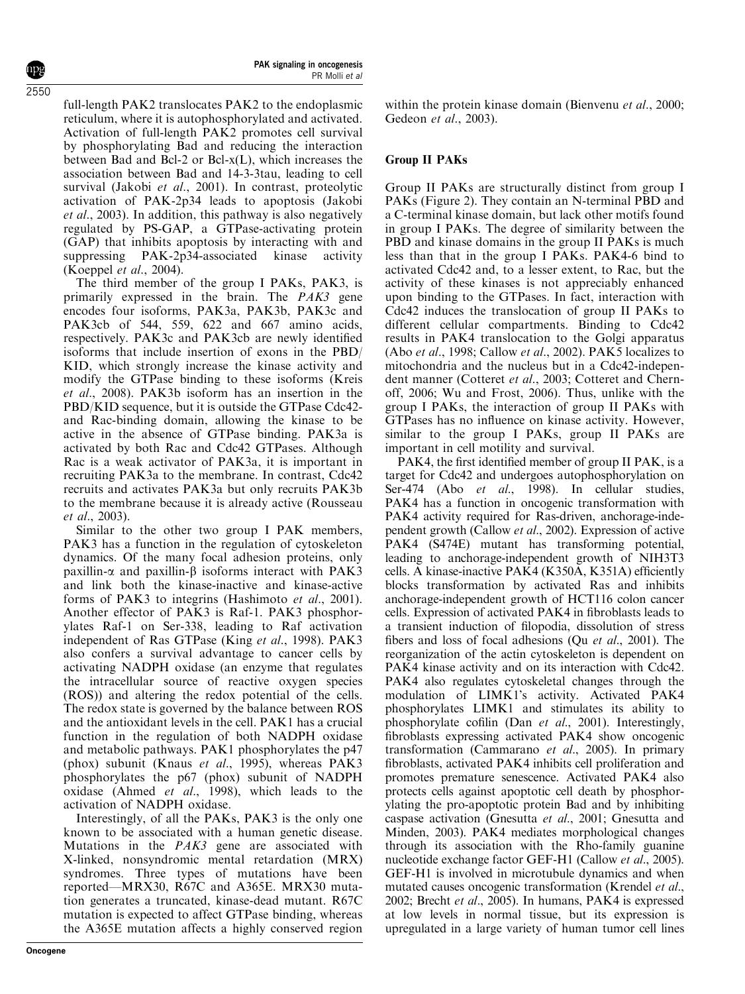full-length PAK2 translocates PAK2 to the endoplasmic reticulum, where it is autophosphorylated and activated. Activation of full-length PAK2 promotes cell survival by phosphorylating Bad and reducing the interaction between Bad and Bcl-2 or Bcl-x(L), which increases the association between Bad and 14-3-3tau, leading to cell survival (Jakobi et al., 2001). In contrast, proteolytic activation of PAK-2p34 leads to apoptosis (Jakobi et al., 2003). In addition, this pathway is also negatively regulated by PS-GAP, a GTPase-activating protein (GAP) that inhibits apoptosis by interacting with and suppressing PAK-2p34-associated kinase activity (Koeppel et al., 2004).

The third member of the group I PAKs, PAK3, is primarily expressed in the brain. The PAK3 gene encodes four isoforms, PAK3a, PAK3b, PAK3c and PAK3cb of 544, 559, 622 and 667 amino acids, respectively. PAK3c and PAK3cb are newly identified isoforms that include insertion of exons in the PBD/ KID, which strongly increase the kinase activity and modify the GTPase binding to these isoforms (Kreis et al., 2008). PAK3b isoform has an insertion in the PBD/KID sequence, but it is outside the GTPase Cdc42 and Rac-binding domain, allowing the kinase to be active in the absence of GTPase binding. PAK3a is activated by both Rac and Cdc42 GTPases. Although Rac is a weak activator of PAK3a, it is important in recruiting PAK3a to the membrane. In contrast, Cdc42 recruits and activates PAK3a but only recruits PAK3b to the membrane because it is already active (Rousseau et al., 2003).

Similar to the other two group I PAK members, PAK3 has a function in the regulation of cytoskeleton dynamics. Of the many focal adhesion proteins, only paxillin- $\alpha$  and paxillin- $\beta$  isoforms interact with PAK3 and link both the kinase-inactive and kinase-active forms of PAK3 to integrins (Hashimoto et al., 2001). Another effector of PAK3 is Raf-1. PAK3 phosphorylates Raf-1 on Ser-338, leading to Raf activation independent of Ras GTPase (King et al., 1998). PAK3 also confers a survival advantage to cancer cells by activating NADPH oxidase (an enzyme that regulates the intracellular source of reactive oxygen species (ROS)) and altering the redox potential of the cells. The redox state is governed by the balance between ROS and the antioxidant levels in the cell. PAK1 has a crucial function in the regulation of both NADPH oxidase and metabolic pathways. PAK1 phosphorylates the p47 (phox) subunit (Knaus et al., 1995), whereas PAK3 phosphorylates the p67 (phox) subunit of NADPH oxidase (Ahmed et al., 1998), which leads to the activation of NADPH oxidase.

Interestingly, of all the PAKs, PAK3 is the only one known to be associated with a human genetic disease. Mutations in the PAK3 gene are associated with X-linked, nonsyndromic mental retardation (MRX) syndromes. Three types of mutations have been reported—MRX30, R67C and A365E. MRX30 mutation generates a truncated, kinase-dead mutant. R67C mutation is expected to affect GTPase binding, whereas the A365E mutation affects a highly conserved region

within the protein kinase domain (Bienvenu et al., 2000; Gedeon et al., 2003).

# Group II PAKs

Group II PAKs are structurally distinct from group I PAKs (Figure 2). They contain an N-terminal PBD and a C-terminal kinase domain, but lack other motifs found in group I PAKs. The degree of similarity between the PBD and kinase domains in the group II PAKs is much less than that in the group I PAKs. PAK4-6 bind to activated Cdc42 and, to a lesser extent, to Rac, but the activity of these kinases is not appreciably enhanced upon binding to the GTPases. In fact, interaction with Cdc42 induces the translocation of group II PAKs to different cellular compartments. Binding to Cdc42 results in PAK4 translocation to the Golgi apparatus (Abo et al., 1998; Callow et al., 2002). PAK5 localizes to mitochondria and the nucleus but in a Cdc42-independent manner (Cotteret et al., 2003; Cotteret and Chernoff, 2006; Wu and Frost, 2006). Thus, unlike with the group I PAKs, the interaction of group II PAKs with GTPases has no influence on kinase activity. However, similar to the group I PAKs, group II PAKs are important in cell motility and survival.

PAK4, the first identified member of group II PAK, is a target for Cdc42 and undergoes autophosphorylation on Ser-474 (Abo et al., 1998). In cellular studies, PAK4 has a function in oncogenic transformation with PAK4 activity required for Ras-driven, anchorage-independent growth (Callow et al., 2002). Expression of active PAK4 (S474E) mutant has transforming potential, leading to anchorage-independent growth of NIH3T3 cells. A kinase-inactive PAK4 (K350A, K351A) efficiently blocks transformation by activated Ras and inhibits anchorage-independent growth of HCT116 colon cancer cells. Expression of activated PAK4 in fibroblasts leads to a transient induction of filopodia, dissolution of stress fibers and loss of focal adhesions (Qu et al., 2001). The reorganization of the actin cytoskeleton is dependent on PAK4 kinase activity and on its interaction with Cdc42. PAK4 also regulates cytoskeletal changes through the modulation of LIMK1's activity. Activated PAK4 phosphorylates LIMK1 and stimulates its ability to phosphorylate cofilin (Dan et al., 2001). Interestingly, fibroblasts expressing activated PAK4 show oncogenic transformation (Cammarano et al., 2005). In primary fibroblasts, activated PAK4 inhibits cell proliferation and promotes premature senescence. Activated PAK4 also protects cells against apoptotic cell death by phosphorylating the pro-apoptotic protein Bad and by inhibiting caspase activation (Gnesutta et al., 2001; Gnesutta and Minden, 2003). PAK4 mediates morphological changes through its association with the Rho-family guanine nucleotide exchange factor GEF-H1 (Callow et al., 2005). GEF-H1 is involved in microtubule dynamics and when mutated causes oncogenic transformation (Krendel et al., 2002; Brecht et al., 2005). In humans, PAK4 is expressed at low levels in normal tissue, but its expression is upregulated in a large variety of human tumor cell lines

2550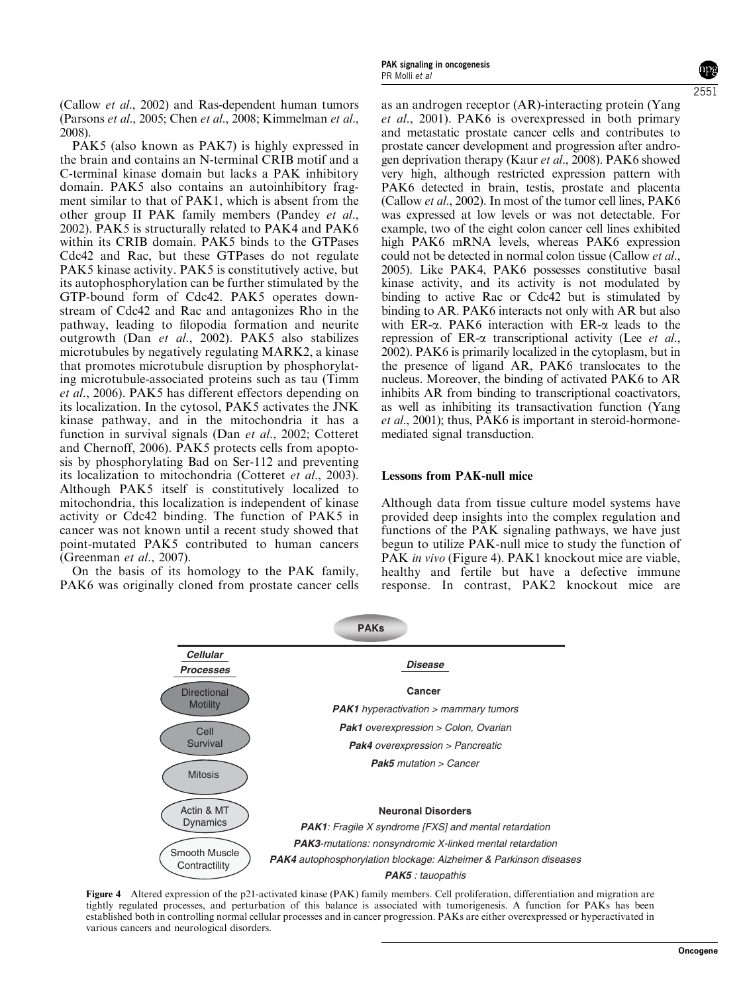(Callow et al., 2002) and Ras-dependent human tumors (Parsons et al., 2005; Chen et al., 2008; Kimmelman et al., 2008).

PAK5 (also known as PAK7) is highly expressed in the brain and contains an N-terminal CRIB motif and a C-terminal kinase domain but lacks a PAK inhibitory domain. PAK5 also contains an autoinhibitory fragment similar to that of PAK1, which is absent from the other group II PAK family members (Pandey et al., 2002). PAK5 is structurally related to PAK4 and PAK6 within its CRIB domain. PAK5 binds to the GTPases Cdc42 and Rac, but these GTPases do not regulate PAK5 kinase activity. PAK5 is constitutively active, but its autophosphorylation can be further stimulated by the GTP-bound form of Cdc42. PAK5 operates downstream of Cdc42 and Rac and antagonizes Rho in the pathway, leading to filopodia formation and neurite outgrowth (Dan et al., 2002). PAK5 also stabilizes microtubules by negatively regulating MARK2, a kinase that promotes microtubule disruption by phosphorylating microtubule-associated proteins such as tau (Timm et al., 2006). PAK5 has different effectors depending on its localization. In the cytosol, PAK5 activates the JNK kinase pathway, and in the mitochondria it has a function in survival signals (Dan  $et$  al., 2002; Cotteret and Chernoff, 2006). PAK5 protects cells from apoptosis by phosphorylating Bad on Ser-112 and preventing its localization to mitochondria (Cotteret et al., 2003). Although PAK5 itself is constitutively localized to mitochondria, this localization is independent of kinase activity or Cdc42 binding. The function of PAK5 in cancer was not known until a recent study showed that point-mutated PAK5 contributed to human cancers (Greenman et al., 2007).

On the basis of its homology to the PAK family, PAK6 was originally cloned from prostate cancer cells

as an androgen receptor (AR)-interacting protein (Yang et al., 2001). PAK6 is overexpressed in both primary and metastatic prostate cancer cells and contributes to prostate cancer development and progression after androgen deprivation therapy (Kaur et al., 2008). PAK6 showed very high, although restricted expression pattern with PAK6 detected in brain, testis, prostate and placenta (Callow et al., 2002). In most of the tumor cell lines, PAK6 was expressed at low levels or was not detectable. For example, two of the eight colon cancer cell lines exhibited high PAK6 mRNA levels, whereas PAK6 expression could not be detected in normal colon tissue (Callow et al., 2005). Like PAK4, PAK6 possesses constitutive basal kinase activity, and its activity is not modulated by binding to active Rac or Cdc42 but is stimulated by binding to AR. PAK6 interacts not only with AR but also with ER- $\alpha$ . PAK6 interaction with ER- $\alpha$  leads to the repression of  $ER-\alpha$  transcriptional activity (Lee *et al.*, 2002). PAK6 is primarily localized in the cytoplasm, but in the presence of ligand AR, PAK6 translocates to the nucleus. Moreover, the binding of activated PAK6 to AR inhibits AR from binding to transcriptional coactivators, as well as inhibiting its transactivation function (Yang  $et al., 2001$ ; thus, PAK6 is important in steroid-hormonemediated signal transduction.

## Lessons from PAK-null mice

Although data from tissue culture model systems have provided deep insights into the complex regulation and functions of the PAK signaling pathways, we have just begun to utilize PAK-null mice to study the function of PAK in vivo (Figure 4). PAK1 knockout mice are viable, healthy and fertile but have a defective immune response. In contrast, PAK2 knockout mice are



Figure 4 Altered expression of the p21-activated kinase (PAK) family members. Cell proliferation, differentiation and migration are tightly regulated processes, and perturbation of this balance is associated with tumorigenesis. A function for PAKs has been established both in controlling normal cellular processes and in cancer progression. PAKs are either overexpressed or hyperactivated in various cancers and neurological disorders.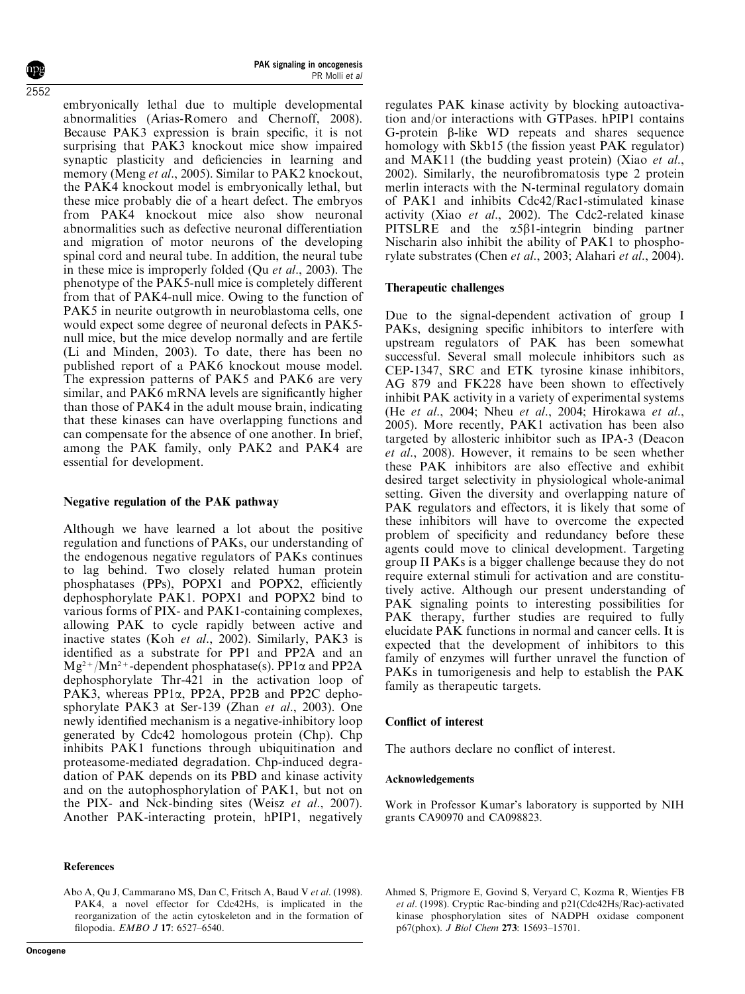2552

embryonically lethal due to multiple developmental abnormalities (Arias-Romero and Chernoff, 2008). Because PAK3 expression is brain specific, it is not surprising that PAK3 knockout mice show impaired synaptic plasticity and deficiencies in learning and memory (Meng *et al.*, 2005). Similar to PAK2 knockout, the PAK4 knockout model is embryonically lethal, but these mice probably die of a heart defect. The embryos from PAK4 knockout mice also show neuronal abnormalities such as defective neuronal differentiation and migration of motor neurons of the developing spinal cord and neural tube. In addition, the neural tube in these mice is improperly folded (Qu et al., 2003). The phenotype of the PAK5-null mice is completely different from that of PAK4-null mice. Owing to the function of PAK5 in neurite outgrowth in neuroblastoma cells, one would expect some degree of neuronal defects in PAK5 null mice, but the mice develop normally and are fertile (Li and Minden, 2003). To date, there has been no published report of a PAK6 knockout mouse model. The expression patterns of PAK5 and PAK6 are very similar, and PAK6 mRNA levels are significantly higher than those of PAK4 in the adult mouse brain, indicating that these kinases can have overlapping functions and can compensate for the absence of one another. In brief, among the PAK family, only PAK2 and PAK4 are essential for development.

# Negative regulation of the PAK pathway

Although we have learned a lot about the positive regulation and functions of PAKs, our understanding of the endogenous negative regulators of PAKs continues to lag behind. Two closely related human protein phosphatases (PPs), POPX1 and POPX2, efficiently dephosphorylate PAK1. POPX1 and POPX2 bind to various forms of PIX- and PAK1-containing complexes, allowing PAK to cycle rapidly between active and inactive states (Koh et al., 2002). Similarly, PAK3 is identified as a substrate for PP1 and PP2A and an  $Mg^{2+}/Mn^{2+}$ -dependent phosphatase(s). PP1 $\alpha$  and PP2A dephosphorylate Thr-421 in the activation loop of PAK3, whereas PP1a, PP2A, PP2B and PP2C dephosphorylate PAK3 at Ser-139 (Zhan et al., 2003). One newly identified mechanism is a negative-inhibitory loop generated by Cdc42 homologous protein (Chp). Chp inhibits PAK1 functions through ubiquitination and proteasome-mediated degradation. Chp-induced degradation of PAK depends on its PBD and kinase activity and on the autophosphorylation of PAK1, but not on the PIX- and Nck-binding sites (Weisz et al., 2007). Another PAK-interacting protein, hPIP1, negatively

## References

Abo A, Qu J, Cammarano MS, Dan C, Fritsch A, Baud V et al. (1998). PAK4, a novel effector for Cdc42Hs, is implicated in the reorganization of the actin cytoskeleton and in the formation of filopodia. EMBO J 17: 6527–6540.

regulates PAK kinase activity by blocking autoactivation and/or interactions with GTPases. hPIP1 contains G-protein  $\beta$ -like WD repeats and shares sequence homology with Skb15 (the fission yeast PAK regulator) and MAK11 (the budding yeast protein) (Xiao et al., 2002). Similarly, the neurofibromatosis type 2 protein merlin interacts with the N-terminal regulatory domain of PAK1 and inhibits Cdc42/Rac1-stimulated kinase activity (Xiao et al., 2002). The Cdc2-related kinase PITSLRE and the  $\alpha$ 5B1-integrin binding partner Nischarin also inhibit the ability of PAK1 to phosphorylate substrates (Chen et al., 2003; Alahari et al., 2004).

# Therapeutic challenges

Due to the signal-dependent activation of group I PAKs, designing specific inhibitors to interfere with upstream regulators of PAK has been somewhat successful. Several small molecule inhibitors such as CEP-1347, SRC and ETK tyrosine kinase inhibitors, AG 879 and FK228 have been shown to effectively inhibit PAK activity in a variety of experimental systems (He et al., 2004; Nheu et al., 2004; Hirokawa et al., 2005). More recently, PAK1 activation has been also targeted by allosteric inhibitor such as IPA-3 (Deacon et al., 2008). However, it remains to be seen whether these PAK inhibitors are also effective and exhibit desired target selectivity in physiological whole-animal setting. Given the diversity and overlapping nature of PAK regulators and effectors, it is likely that some of these inhibitors will have to overcome the expected problem of specificity and redundancy before these agents could move to clinical development. Targeting group II PAKs is a bigger challenge because they do not require external stimuli for activation and are constitutively active. Although our present understanding of PAK signaling points to interesting possibilities for PAK therapy, further studies are required to fully elucidate PAK functions in normal and cancer cells. It is expected that the development of inhibitors to this family of enzymes will further unravel the function of PAKs in tumorigenesis and help to establish the PAK family as therapeutic targets.

# Conflict of interest

The authors declare no conflict of interest.

# Acknowledgements

Work in Professor Kumar's laboratory is supported by NIH grants CA90970 and CA098823.

Ahmed S, Prigmore E, Govind S, Veryard C, Kozma R, Wientjes FB et al. (1998). Cryptic Rac-binding and p21(Cdc42Hs/Rac)-activated kinase phosphorylation sites of NADPH oxidase component p67(phox). J Biol Chem 273: 15693–15701.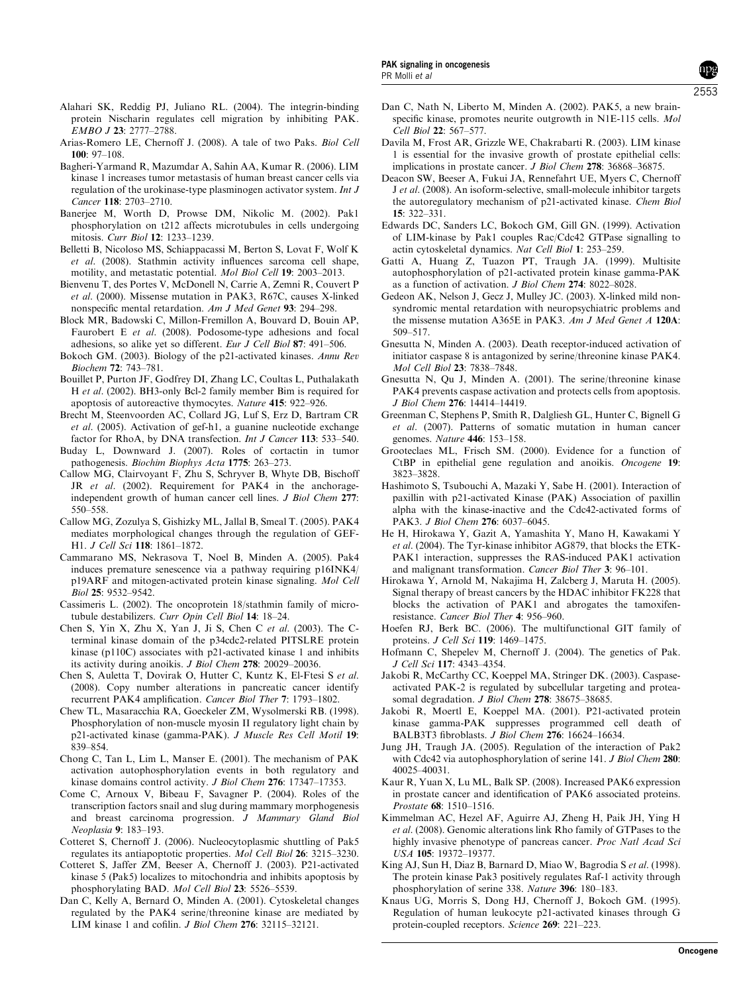- Alahari SK, Reddig PJ, Juliano RL. (2004). The integrin-binding protein Nischarin regulates cell migration by inhibiting PAK. EMBO J 23: 2777–2788.
- Arias-Romero LE, Chernoff J. (2008). A tale of two Paks. Biol Cell 100: 97–108.
- Bagheri-Yarmand R, Mazumdar A, Sahin AA, Kumar R. (2006). LIM kinase 1 increases tumor metastasis of human breast cancer cells via regulation of the urokinase-type plasminogen activator system. Int J Cancer 118: 2703–2710.
- Banerjee M, Worth D, Prowse DM, Nikolic M. (2002). Pak1 phosphorylation on t212 affects microtubules in cells undergoing mitosis. Curr Biol 12: 1233–1239.
- Belletti B, Nicoloso MS, Schiappacassi M, Berton S, Lovat F, Wolf K et al. (2008). Stathmin activity influences sarcoma cell shape, motility, and metastatic potential. Mol Biol Cell 19: 2003–2013.
- Bienvenu T, des Portes V, McDonell N, Carrie A, Zemni R, Couvert P et al. (2000). Missense mutation in PAK3, R67C, causes X-linked nonspecific mental retardation. Am J Med Genet 93: 294–298.
- Block MR, Badowski C, Millon-Fremillon A, Bouvard D, Bouin AP, Faurobert E et al. (2008). Podosome-type adhesions and focal adhesions, so alike yet so different. Eur J Cell Biol 87: 491–506.
- Bokoch GM. (2003). Biology of the p21-activated kinases. Annu Rev Biochem 72: 743–781.
- Bouillet P, Purton JF, Godfrey DI, Zhang LC, Coultas L, Puthalakath H et al. (2002). BH3-only Bcl-2 family member Bim is required for apoptosis of autoreactive thymocytes. Nature 415: 922–926.
- Brecht M, Steenvoorden AC, Collard JG, Luf S, Erz D, Bartram CR et al. (2005). Activation of gef-h1, a guanine nucleotide exchange factor for RhoA, by DNA transfection. Int J Cancer 113: 533-540.
- Buday L, Downward J. (2007). Roles of cortactin in tumor pathogenesis. Biochim Biophys Acta 1775: 263–273.
- Callow MG, Clairvoyant F, Zhu S, Schryver B, Whyte DB, Bischoff JR et al. (2002). Requirement for PAK4 in the anchorageindependent growth of human cancer cell lines. *J Biol Chem* 277: 550–558.
- Callow MG, Zozulya S, Gishizky ML, Jallal B, Smeal T. (2005). PAK4 mediates morphological changes through the regulation of GEF-H1. J Cell Sci 118: 1861–1872.
- Cammarano MS, Nekrasova T, Noel B, Minden A. (2005). Pak4 induces premature senescence via a pathway requiring p16INK4/ p19ARF and mitogen-activated protein kinase signaling. Mol Cell Biol 25: 9532–9542.
- Cassimeris L. (2002). The oncoprotein 18/stathmin family of microtubule destabilizers. Curr Opin Cell Biol 14: 18–24.
- Chen S, Yin X, Zhu X, Yan J, Ji S, Chen C et al. (2003). The Cterminal kinase domain of the p34cdc2-related PITSLRE protein kinase (p110C) associates with p21-activated kinase 1 and inhibits its activity during anoikis. J Biol Chem 278: 20029–20036.
- Chen S, Auletta T, Dovirak O, Hutter C, Kuntz K, El-Ftesi S et al. (2008). Copy number alterations in pancreatic cancer identify recurrent PAK4 amplification. Cancer Biol Ther 7: 1793–1802.
- Chew TL, Masaracchia RA, Goeckeler ZM, Wysolmerski RB. (1998). Phosphorylation of non-muscle myosin II regulatory light chain by p21-activated kinase (gamma-PAK). J Muscle Res Cell Motil 19: 839–854.
- Chong C, Tan L, Lim L, Manser E. (2001). The mechanism of PAK activation autophosphorylation events in both regulatory and kinase domains control activity. J Biol Chem 276: 17347–17353.
- Come C, Arnoux V, Bibeau F, Savagner P. (2004). Roles of the transcription factors snail and slug during mammary morphogenesis and breast carcinoma progression. J Mammary Gland Biol Neoplasia 9: 183–193.
- Cotteret S, Chernoff J. (2006). Nucleocytoplasmic shuttling of Pak5 regulates its antiapoptotic properties. Mol Cell Biol 26: 3215–3230.
- Cotteret S, Jaffer ZM, Beeser A, Chernoff J. (2003). P21-activated kinase 5 (Pak5) localizes to mitochondria and inhibits apoptosis by phosphorylating BAD. Mol Cell Biol 23: 5526–5539.
- Dan C, Kelly A, Bernard O, Minden A. (2001). Cytoskeletal changes regulated by the PAK4 serine/threonine kinase are mediated by LIM kinase 1 and cofilin. J Biol Chem 276: 32115–32121.
- Dan C, Nath N, Liberto M, Minden A. (2002). PAK5, a new brainspecific kinase, promotes neurite outgrowth in N1E-115 cells. Mol Cell Biol 22: 567–577.
- Davila M, Frost AR, Grizzle WE, Chakrabarti R. (2003). LIM kinase 1 is essential for the invasive growth of prostate epithelial cells: implications in prostate cancer. J Biol Chem 278: 36868–36875.
- Deacon SW, Beeser A, Fukui JA, Rennefahrt UE, Myers C, Chernoff J et al. (2008). An isoform-selective, small-molecule inhibitor targets the autoregulatory mechanism of p21-activated kinase. Chem Biol 15: 322–331.
- Edwards DC, Sanders LC, Bokoch GM, Gill GN. (1999). Activation of LIM-kinase by Pak1 couples Rac/Cdc42 GTPase signalling to actin cytoskeletal dynamics. Nat Cell Biol 1: 253–259.
- Gatti A, Huang Z, Tuazon PT, Traugh JA. (1999). Multisite autophosphorylation of p21-activated protein kinase gamma-PAK as a function of activation. J Biol Chem 274: 8022–8028.
- Gedeon AK, Nelson J, Gecz J, Mulley JC. (2003). X-linked mild nonsyndromic mental retardation with neuropsychiatric problems and the missense mutation A365E in PAK3. Am J Med Genet A 120A: 509–517.
- Gnesutta N, Minden A. (2003). Death receptor-induced activation of initiator caspase 8 is antagonized by serine/threonine kinase PAK4. Mol Cell Biol 23: 7838–7848.
- Gnesutta N, Qu J, Minden A. (2001). The serine/threonine kinase PAK4 prevents caspase activation and protects cells from apoptosis. J Biol Chem 276: 14414–14419.
- Greenman C, Stephens P, Smith R, Dalgliesh GL, Hunter C, Bignell G et al. (2007). Patterns of somatic mutation in human cancer genomes. Nature 446: 153–158.
- Grooteclaes ML, Frisch SM. (2000). Evidence for a function of CtBP in epithelial gene regulation and anoikis. Oncogene 19: 3823–3828.
- Hashimoto S, Tsubouchi A, Mazaki Y, Sabe H. (2001). Interaction of paxillin with p21-activated Kinase (PAK) Association of paxillin alpha with the kinase-inactive and the Cdc42-activated forms of PAK3. J Biol Chem 276: 6037–6045.
- He H, Hirokawa Y, Gazit A, Yamashita Y, Mano H, Kawakami Y et al. (2004). The Tyr-kinase inhibitor AG879, that blocks the ETK-PAK1 interaction, suppresses the RAS-induced PAK1 activation and malignant transformation. Cancer Biol Ther 3: 96–101.
- Hirokawa Y, Arnold M, Nakajima H, Zalcberg J, Maruta H. (2005). Signal therapy of breast cancers by the HDAC inhibitor FK228 that blocks the activation of PAK1 and abrogates the tamoxifenresistance. Cancer Biol Ther 4: 956–960.
- Hoefen RJ, Berk BC. (2006). The multifunctional GIT family of proteins. J Cell Sci 119: 1469–1475.
- Hofmann C, Shepelev M, Chernoff J. (2004). The genetics of Pak. J Cell Sci 117: 4343–4354.
- Jakobi R, McCarthy CC, Koeppel MA, Stringer DK. (2003). Caspaseactivated PAK-2 is regulated by subcellular targeting and proteasomal degradation. J Biol Chem 278: 38675–38685.
- Jakobi R, Moertl E, Koeppel MA. (2001). P21-activated protein kinase gamma-PAK suppresses programmed cell death of BALB3T3 fibroblasts. J Biol Chem 276: 16624–16634.
- Jung JH, Traugh JA. (2005). Regulation of the interaction of Pak2 with Cdc42 via autophosphorylation of serine 141. *J Biol Chem* 280: 40025–40031.
- Kaur R, Yuan X, Lu ML, Balk SP. (2008). Increased PAK6 expression in prostate cancer and identification of PAK6 associated proteins. Prostate 68: 1510–1516.
- Kimmelman AC, Hezel AF, Aguirre AJ, Zheng H, Paik JH, Ying H et al. (2008). Genomic alterations link Rho family of GTPases to the highly invasive phenotype of pancreas cancer. *Proc Natl Acad Sci* USA 105: 19372–19377.
- King AJ, Sun H, Diaz B, Barnard D, Miao W, Bagrodia S et al. (1998). The protein kinase Pak3 positively regulates Raf-1 activity through phosphorylation of serine 338. Nature 396: 180–183.
- Knaus UG, Morris S, Dong HJ, Chernoff J, Bokoch GM. (1995). Regulation of human leukocyte p21-activated kinases through G protein-coupled receptors. Science 269: 221–223.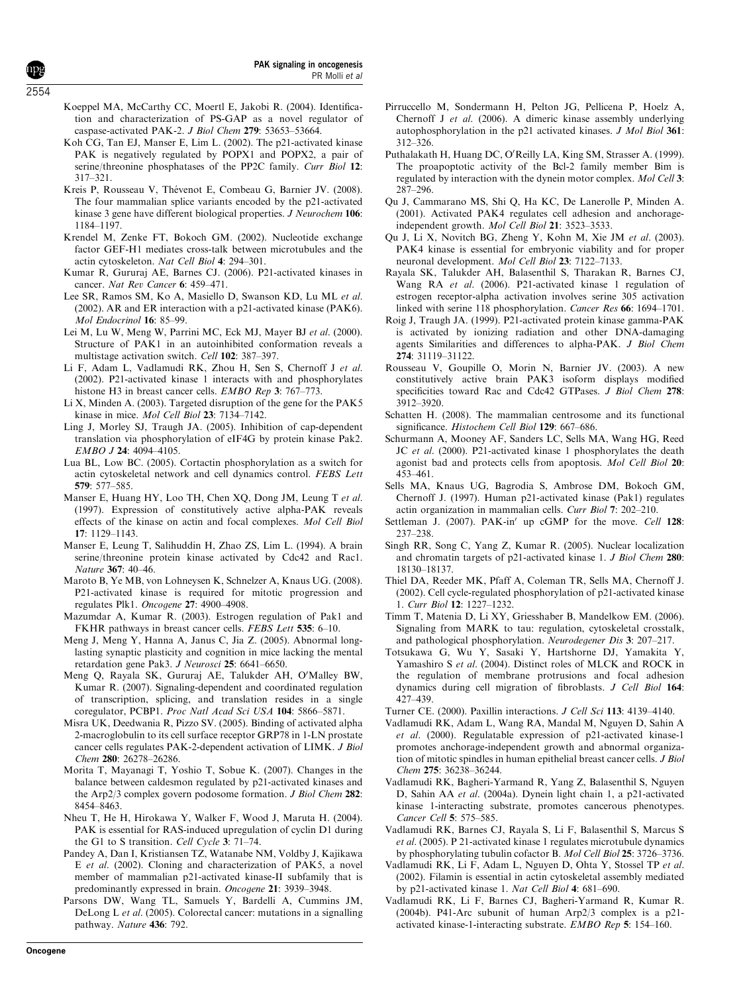- Koeppel MA, McCarthy CC, Moertl E, Jakobi R. (2004). Identification and characterization of PS-GAP as a novel regulator of caspase-activated PAK-2. J Biol Chem 279: 53653–53664.
- Koh CG, Tan EJ, Manser E, Lim L. (2002). The p21-activated kinase PAK is negatively regulated by POPX1 and POPX2, a pair of serine/threonine phosphatases of the PP2C family. Curr Biol 12: 317–321.
- Kreis P, Rousseau V, Thévenot E, Combeau G, Barnier JV. (2008). The four mammalian splice variants encoded by the p21-activated kinase 3 gene have different biological properties. J Neurochem 106: 1184–1197.
- Krendel M, Zenke FT, Bokoch GM. (2002). Nucleotide exchange factor GEF-H1 mediates cross-talk between microtubules and the actin cytoskeleton. Nat Cell Biol 4: 294–301.
- Kumar R, Gururaj AE, Barnes CJ. (2006). P21-activated kinases in cancer. Nat Rev Cancer 6: 459–471.
- Lee SR, Ramos SM, Ko A, Masiello D, Swanson KD, Lu ML et al. (2002). AR and ER interaction with a p21-activated kinase (PAK6). Mol Endocrinol 16: 85–99.
- Lei M, Lu W, Meng W, Parrini MC, Eck MJ, Mayer BJ et al. (2000). Structure of PAK1 in an autoinhibited conformation reveals a multistage activation switch. Cell 102: 387–397.
- Li F, Adam L, Vadlamudi RK, Zhou H, Sen S, Chernoff J et al. (2002). P21-activated kinase 1 interacts with and phosphorylates histone H3 in breast cancer cells. *EMBO Rep* 3: 767–773.
- Li X, Minden A. (2003). Targeted disruption of the gene for the PAK5 kinase in mice. Mol Cell Biol 23: 7134–7142.
- Ling J, Morley SJ, Traugh JA. (2005). Inhibition of cap-dependent translation via phosphorylation of eIF4G by protein kinase Pak2. EMBO J 24: 4094–4105.
- Lua BL, Low BC. (2005). Cortactin phosphorylation as a switch for actin cytoskeletal network and cell dynamics control. FEBS Lett 579: 577–585.
- Manser E, Huang HY, Loo TH, Chen XQ, Dong JM, Leung T et al. (1997). Expression of constitutively active alpha-PAK reveals effects of the kinase on actin and focal complexes. Mol Cell Biol 17: 1129–1143.
- Manser E, Leung T, Salihuddin H, Zhao ZS, Lim L. (1994). A brain serine/threonine protein kinase activated by Cdc42 and Rac1. Nature 367: 40–46.
- Maroto B, Ye MB, von Lohneysen K, Schnelzer A, Knaus UG. (2008). P21-activated kinase is required for mitotic progression and regulates Plk1. Oncogene 27: 4900–4908.
- Mazumdar A, Kumar R. (2003). Estrogen regulation of Pak1 and FKHR pathways in breast cancer cells. FEBS Lett 535: 6–10.
- Meng J, Meng Y, Hanna A, Janus C, Jia Z. (2005). Abnormal longlasting synaptic plasticity and cognition in mice lacking the mental retardation gene Pak3. J Neurosci 25: 6641–6650.
- Meng Q, Rayala SK, Gururaj AE, Talukder AH, O'Malley BW, Kumar R. (2007). Signaling-dependent and coordinated regulation of transcription, splicing, and translation resides in a single coregulator, PCBP1. Proc Natl Acad Sci USA 104: 5866–5871.
- Misra UK, Deedwania R, Pizzo SV. (2005). Binding of activated alpha 2-macroglobulin to its cell surface receptor GRP78 in 1-LN prostate cancer cells regulates PAK-2-dependent activation of LIMK. J Biol Chem 280: 26278–26286.
- Morita T, Mayanagi T, Yoshio T, Sobue K. (2007). Changes in the balance between caldesmon regulated by p21-activated kinases and the Arp2/3 complex govern podosome formation. J Biol Chem 282: 8454–8463.
- Nheu T, He H, Hirokawa Y, Walker F, Wood J, Maruta H. (2004). PAK is essential for RAS-induced upregulation of cyclin D1 during the G1 to S transition. Cell Cycle 3: 71–74.
- Pandey A, Dan I, Kristiansen TZ, Watanabe NM, Voldby J, Kajikawa E et al. (2002). Cloning and characterization of PAK5, a novel member of mammalian p21-activated kinase-II subfamily that is predominantly expressed in brain. Oncogene 21: 3939–3948.
- Parsons DW, Wang TL, Samuels Y, Bardelli A, Cummins JM, DeLong L et al. (2005). Colorectal cancer: mutations in a signalling pathway. Nature 436: 792.
- Pirruccello M, Sondermann H, Pelton JG, Pellicena P, Hoelz A, Chernoff J et al. (2006). A dimeric kinase assembly underlying autophosphorylation in the p21 activated kinases. J Mol Biol 361: 312–326.
- Puthalakath H, Huang DC, O'Reilly LA, King SM, Strasser A. (1999). The proapoptotic activity of the Bcl-2 family member Bim is regulated by interaction with the dynein motor complex. Mol Cell 3: 287–296.
- Qu J, Cammarano MS, Shi Q, Ha KC, De Lanerolle P, Minden A. (2001). Activated PAK4 regulates cell adhesion and anchorageindependent growth. Mol Cell Biol 21: 3523–3533.
- Qu J, Li X, Novitch BG, Zheng Y, Kohn M, Xie JM et al. (2003). PAK4 kinase is essential for embryonic viability and for proper neuronal development. Mol Cell Biol 23: 7122–7133.
- Rayala SK, Talukder AH, Balasenthil S, Tharakan R, Barnes CJ, Wang RA et al. (2006). P21-activated kinase 1 regulation of estrogen receptor-alpha activation involves serine 305 activation linked with serine 118 phosphorylation. Cancer Res 66: 1694–1701.
- Roig J, Traugh JA. (1999). P21-activated protein kinase gamma-PAK is activated by ionizing radiation and other DNA-damaging agents Similarities and differences to alpha-PAK. J Biol Chem 274: 31119–31122.
- Rousseau V, Goupille O, Morin N, Barnier JV. (2003). A new constitutively active brain PAK3 isoform displays modified specificities toward Rac and Cdc42 GTPases. J Biol Chem 278: 3912–3920.
- Schatten H. (2008). The mammalian centrosome and its functional significance. Histochem Cell Biol 129: 667-686.
- Schurmann A, Mooney AF, Sanders LC, Sells MA, Wang HG, Reed JC et al. (2000). P21-activated kinase 1 phosphorylates the death agonist bad and protects cells from apoptosis. Mol Cell Biol 20: 453–461.
- Sells MA, Knaus UG, Bagrodia S, Ambrose DM, Bokoch GM, Chernoff J. (1997). Human p21-activated kinase (Pak1) regulates actin organization in mammalian cells. Curr Biol 7: 202–210.
- Settleman J. (2007). PAK-in' up cGMP for the move. Cell 128: 237–238.
- Singh RR, Song C, Yang Z, Kumar R. (2005). Nuclear localization and chromatin targets of p21-activated kinase 1. J Biol Chem 280: 18130–18137.
- Thiel DA, Reeder MK, Pfaff A, Coleman TR, Sells MA, Chernoff J. (2002). Cell cycle-regulated phosphorylation of p21-activated kinase 1. Curr Biol 12: 1227–1232.
- Timm T, Matenia D, Li XY, Griesshaber B, Mandelkow EM. (2006). Signaling from MARK to tau: regulation, cytoskeletal crosstalk, and pathological phosphorylation. Neurodegener Dis 3: 207–217.
- Totsukawa G, Wu Y, Sasaki Y, Hartshorne DJ, Yamakita Y, Yamashiro S et al. (2004). Distinct roles of MLCK and ROCK in the regulation of membrane protrusions and focal adhesion dynamics during cell migration of fibroblasts. J Cell Biol 164: 427–439.
- Turner CE. (2000). Paxillin interactions. J Cell Sci 113: 4139–4140.
- Vadlamudi RK, Adam L, Wang RA, Mandal M, Nguyen D, Sahin A et al. (2000). Regulatable expression of p21-activated kinase-1 promotes anchorage-independent growth and abnormal organization of mitotic spindles in human epithelial breast cancer cells. J Biol Chem 275: 36238–36244.
- Vadlamudi RK, Bagheri-Yarmand R, Yang Z, Balasenthil S, Nguyen D, Sahin AA et al. (2004a). Dynein light chain 1, a p21-activated kinase 1-interacting substrate, promotes cancerous phenotypes. Cancer Cell 5: 575–585.
- Vadlamudi RK, Barnes CJ, Rayala S, Li F, Balasenthil S, Marcus S et al. (2005). P 21-activated kinase 1 regulates microtubule dynamics by phosphorylating tubulin cofactor B. Mol Cell Biol 25: 3726–3736.
- Vadlamudi RK, Li F, Adam L, Nguyen D, Ohta Y, Stossel TP et al. (2002). Filamin is essential in actin cytoskeletal assembly mediated by p21-activated kinase 1. Nat Cell Biol 4: 681–690.
- Vadlamudi RK, Li F, Barnes CJ, Bagheri-Yarmand R, Kumar R. (2004b). P41-Arc subunit of human Arp2/3 complex is a p21 activated kinase-1-interacting substrate. EMBO Rep 5: 154–160.

2554